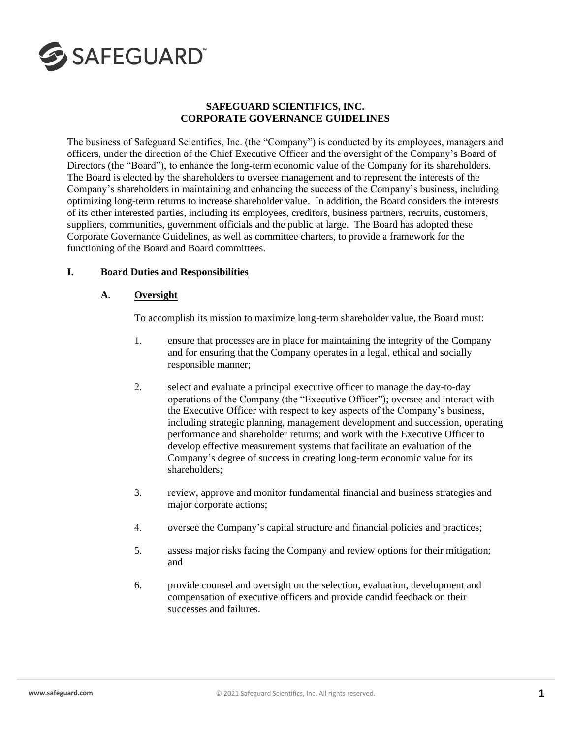

### **SAFEGUARD SCIENTIFICS, INC. CORPORATE GOVERNANCE GUIDELINES**

The business of Safeguard Scientifics, Inc. (the "Company") is conducted by its employees, managers and officers, under the direction of the Chief Executive Officer and the oversight of the Company's Board of Directors (the "Board"), to enhance the long-term economic value of the Company for its shareholders. The Board is elected by the shareholders to oversee management and to represent the interests of the Company's shareholders in maintaining and enhancing the success of the Company's business, including optimizing long-term returns to increase shareholder value. In addition, the Board considers the interests of its other interested parties, including its employees, creditors, business partners, recruits, customers, suppliers, communities, government officials and the public at large. The Board has adopted these Corporate Governance Guidelines, as well as committee charters, to provide a framework for the functioning of the Board and Board committees.

## **I. Board Duties and Responsibilities**

### **A. Oversight**

To accomplish its mission to maximize long-term shareholder value, the Board must:

- 1. ensure that processes are in place for maintaining the integrity of the Company and for ensuring that the Company operates in a legal, ethical and socially responsible manner;
- 2. select and evaluate a principal executive officer to manage the day-to-day operations of the Company (the "Executive Officer"); oversee and interact with the Executive Officer with respect to key aspects of the Company's business, including strategic planning, management development and succession, operating performance and shareholder returns; and work with the Executive Officer to develop effective measurement systems that facilitate an evaluation of the Company's degree of success in creating long-term economic value for its shareholders;
- 3. review, approve and monitor fundamental financial and business strategies and major corporate actions;
- 4. oversee the Company's capital structure and financial policies and practices;
- 5. assess major risks facing the Company and review options for their mitigation; and
- 6. provide counsel and oversight on the selection, evaluation, development and compensation of executive officers and provide candid feedback on their successes and failures.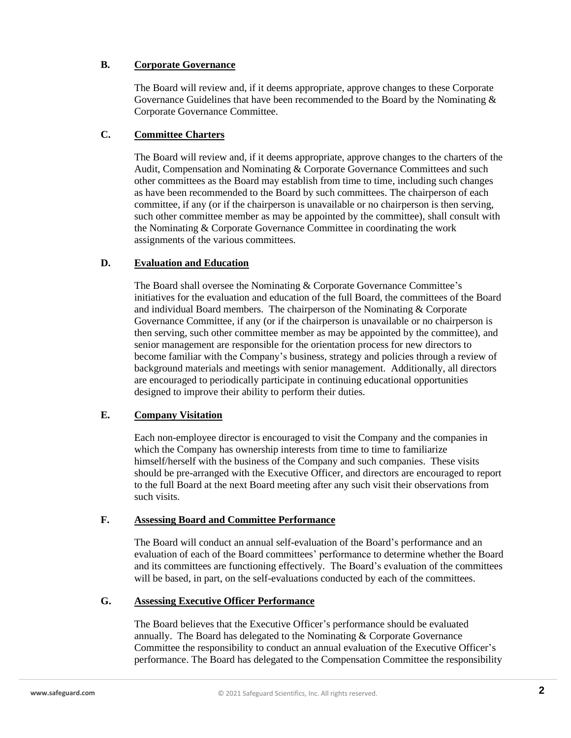## **B. Corporate Governance**

The Board will review and, if it deems appropriate, approve changes to these Corporate Governance Guidelines that have been recommended to the Board by the Nominating  $\&$ Corporate Governance Committee.

## **C. Committee Charters**

The Board will review and, if it deems appropriate, approve changes to the charters of the Audit, Compensation and Nominating & Corporate Governance Committees and such other committees as the Board may establish from time to time, including such changes as have been recommended to the Board by such committees. The chairperson of each committee, if any (or if the chairperson is unavailable or no chairperson is then serving, such other committee member as may be appointed by the committee), shall consult with the Nominating & Corporate Governance Committee in coordinating the work assignments of the various committees.

## **D. Evaluation and Education**

The Board shall oversee the Nominating & Corporate Governance Committee's initiatives for the evaluation and education of the full Board, the committees of the Board and individual Board members*.* The chairperson of the Nominating & Corporate Governance Committee, if any (or if the chairperson is unavailable or no chairperson is then serving, such other committee member as may be appointed by the committee), and senior management are responsible for the orientation process for new directors to become familiar with the Company's business, strategy and policies through a review of background materials and meetings with senior management.Additionally, all directors are encouraged to periodically participate in continuing educational opportunities designed to improve their ability to perform their duties.

# **E. Company Visitation**

Each non-employee director is encouraged to visit the Company and the companies in which the Company has ownership interests from time to time to familiarize himself/herself with the business of the Company and such companies. These visits should be pre-arranged with the Executive Officer, and directors are encouraged to report to the full Board at the next Board meeting after any such visit their observations from such visits.

# **F. Assessing Board and Committee Performance**

The Board will conduct an annual self-evaluation of the Board's performance and an evaluation of each of the Board committees' performance to determine whether the Board and its committees are functioning effectively. The Board's evaluation of the committees will be based, in part, on the self-evaluations conducted by each of the committees.

## **G. Assessing Executive Officer Performance**

The Board believes that the Executive Officer's performance should be evaluated annually. The Board has delegated to the Nominating & Corporate Governance Committee the responsibility to conduct an annual evaluation of the Executive Officer's performance. The Board has delegated to the Compensation Committee the responsibility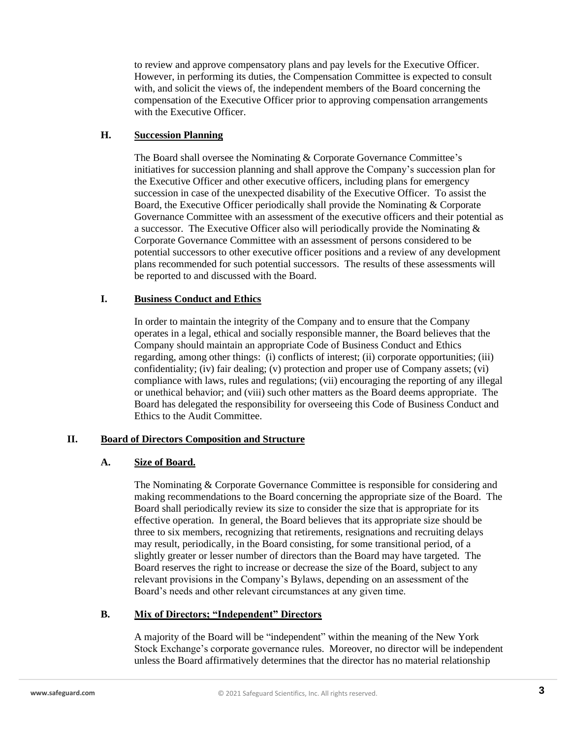to review and approve compensatory plans and pay levels for the Executive Officer. However, in performing its duties, the Compensation Committee is expected to consult with, and solicit the views of, the independent members of the Board concerning the compensation of the Executive Officer prior to approving compensation arrangements with the Executive Officer.

## **H. Succession Planning**

The Board shall oversee the Nominating & Corporate Governance Committee's initiatives for succession planning and shall approve the Company's succession plan for the Executive Officer and other executive officers, including plans for emergency succession in case of the unexpected disability of the Executive Officer. To assist the Board, the Executive Officer periodically shall provide the Nominating & Corporate Governance Committee with an assessment of the executive officers and their potential as a successor. The Executive Officer also will periodically provide the Nominating & Corporate Governance Committee with an assessment of persons considered to be potential successors to other executive officer positions and a review of any development plans recommended for such potential successors. The results of these assessments will be reported to and discussed with the Board.

## **I. Business Conduct and Ethics**

In order to maintain the integrity of the Company and to ensure that the Company operates in a legal, ethical and socially responsible manner, the Board believes that the Company should maintain an appropriate Code of Business Conduct and Ethics regarding, among other things: (i) conflicts of interest; (ii) corporate opportunities; (iii) confidentiality; (iv) fair dealing; (v) protection and proper use of Company assets; (vi) compliance with laws, rules and regulations; (vii) encouraging the reporting of any illegal or unethical behavior; and (viii) such other matters as the Board deems appropriate. The Board has delegated the responsibility for overseeing this Code of Business Conduct and Ethics to the Audit Committee.

# **II. Board of Directors Composition and Structure**

# **A. Size of Board.**

The Nominating & Corporate Governance Committee is responsible for considering and making recommendations to the Board concerning the appropriate size of the Board. The Board shall periodically review its size to consider the size that is appropriate for its effective operation. In general, the Board believes that its appropriate size should be three to six members, recognizing that retirements, resignations and recruiting delays may result, periodically, in the Board consisting, for some transitional period, of a slightly greater or lesser number of directors than the Board may have targeted. The Board reserves the right to increase or decrease the size of the Board, subject to any relevant provisions in the Company's Bylaws, depending on an assessment of the Board's needs and other relevant circumstances at any given time.

# **B. Mix of Directors; "Independent" Directors**

A majority of the Board will be "independent" within the meaning of the New York Stock Exchange's corporate governance rules. Moreover, no director will be independent unless the Board affirmatively determines that the director has no material relationship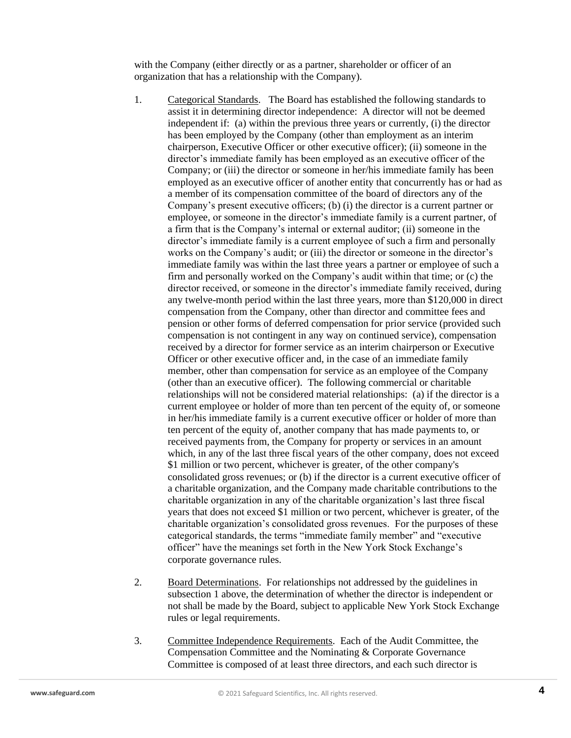with the Company (either directly or as a partner, shareholder or officer of an organization that has a relationship with the Company).

- 1. Categorical Standards. The Board has established the following standards to assist it in determining director independence: A director will not be deemed independent if: (a) within the previous three years or currently, (i) the director has been employed by the Company (other than employment as an interim chairperson, Executive Officer or other executive officer); (ii) someone in the director's immediate family has been employed as an executive officer of the Company; or (iii) the director or someone in her/his immediate family has been employed as an executive officer of another entity that concurrently has or had as a member of its compensation committee of the board of directors any of the Company's present executive officers; (b) (i) the director is a current partner or employee, or someone in the director's immediate family is a current partner, of a firm that is the Company's internal or external auditor; (ii) someone in the director's immediate family is a current employee of such a firm and personally works on the Company's audit; or (iii) the director or someone in the director's immediate family was within the last three years a partner or employee of such a firm and personally worked on the Company's audit within that time; or (c) the director received, or someone in the director's immediate family received, during any twelve-month period within the last three years, more than \$120,000 in direct compensation from the Company, other than director and committee fees and pension or other forms of deferred compensation for prior service (provided such compensation is not contingent in any way on continued service), compensation received by a director for former service as an interim chairperson or Executive Officer or other executive officer and, in the case of an immediate family member, other than compensation for service as an employee of the Company (other than an executive officer). The following commercial or charitable relationships will not be considered material relationships: (a) if the director is a current employee or holder of more than ten percent of the equity of, or someone in her/his immediate family is a current executive officer or holder of more than ten percent of the equity of, another company that has made payments to, or received payments from, the Company for property or services in an amount which, in any of the last three fiscal years of the other company, does not exceed \$1 million or two percent, whichever is greater, of the other company's consolidated gross revenues; or (b) if the director is a current executive officer of a charitable organization, and the Company made charitable contributions to the charitable organization in any of the charitable organization's last three fiscal years that does not exceed \$1 million or two percent, whichever is greater, of the charitable organization's consolidated gross revenues. For the purposes of these categorical standards, the terms "immediate family member" and "executive officer" have the meanings set forth in the New York Stock Exchange's corporate governance rules.
- 2. Board Determinations. For relationships not addressed by the guidelines in subsection 1 above, the determination of whether the director is independent or not shall be made by the Board, subject to applicable New York Stock Exchange rules or legal requirements.
- 3. Committee Independence Requirements. Each of the Audit Committee, the Compensation Committee and the Nominating & Corporate Governance Committee is composed of at least three directors, and each such director is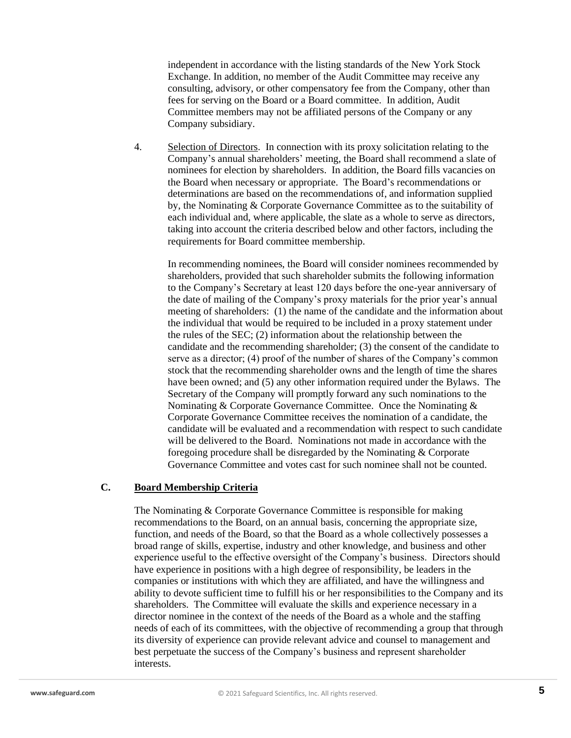independent in accordance with the listing standards of the New York Stock Exchange. In addition, no member of the Audit Committee may receive any consulting, advisory, or other compensatory fee from the Company, other than fees for serving on the Board or a Board committee. In addition, Audit Committee members may not be affiliated persons of the Company or any Company subsidiary.

4. Selection of Directors. In connection with its proxy solicitation relating to the Company's annual shareholders' meeting, the Board shall recommend a slate of nominees for election by shareholders. In addition, the Board fills vacancies on the Board when necessary or appropriate. The Board's recommendations or determinations are based on the recommendations of, and information supplied by, the Nominating & Corporate Governance Committee as to the suitability of each individual and, where applicable, the slate as a whole to serve as directors, taking into account the criteria described below and other factors, including the requirements for Board committee membership.

In recommending nominees, the Board will consider nominees recommended by shareholders, provided that such shareholder submits the following information to the Company's Secretary at least 120 days before the one-year anniversary of the date of mailing of the Company's proxy materials for the prior year's annual meeting of shareholders: (1) the name of the candidate and the information about the individual that would be required to be included in a proxy statement under the rules of the SEC; (2) information about the relationship between the candidate and the recommending shareholder; (3) the consent of the candidate to serve as a director; (4) proof of the number of shares of the Company's common stock that the recommending shareholder owns and the length of time the shares have been owned; and (5) any other information required under the Bylaws. The Secretary of the Company will promptly forward any such nominations to the Nominating & Corporate Governance Committee. Once the Nominating & Corporate Governance Committee receives the nomination of a candidate, the candidate will be evaluated and a recommendation with respect to such candidate will be delivered to the Board. Nominations not made in accordance with the foregoing procedure shall be disregarded by the Nominating & Corporate Governance Committee and votes cast for such nominee shall not be counted.

# **C. Board Membership Criteria**

The Nominating & Corporate Governance Committee is responsible for making recommendations to the Board, on an annual basis, concerning the appropriate size, function, and needs of the Board, so that the Board as a whole collectively possesses a broad range of skills, expertise, industry and other knowledge, and business and other experience useful to the effective oversight of the Company's business. Directors should have experience in positions with a high degree of responsibility, be leaders in the companies or institutions with which they are affiliated, and have the willingness and ability to devote sufficient time to fulfill his or her responsibilities to the Company and its shareholders. The Committee will evaluate the skills and experience necessary in a director nominee in the context of the needs of the Board as a whole and the staffing needs of each of its committees, with the objective of recommending a group that through its diversity of experience can provide relevant advice and counsel to management and best perpetuate the success of the Company's business and represent shareholder interests.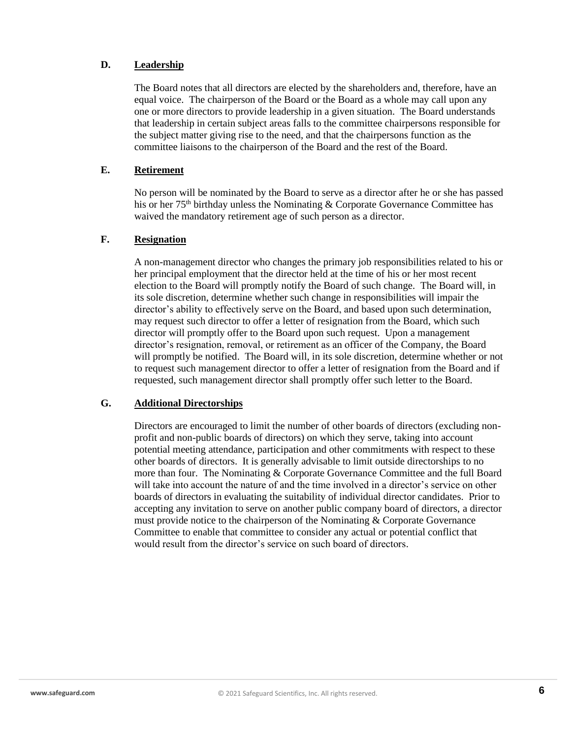## **D. Leadership**

The Board notes that all directors are elected by the shareholders and, therefore, have an equal voice. The chairperson of the Board or the Board as a whole may call upon any one or more directors to provide leadership in a given situation. The Board understands that leadership in certain subject areas falls to the committee chairpersons responsible for the subject matter giving rise to the need, and that the chairpersons function as the committee liaisons to the chairperson of the Board and the rest of the Board.

## **E. Retirement**

No person will be nominated by the Board to serve as a director after he or she has passed his or her  $75<sup>th</sup>$  birthday unless the Nominating & Corporate Governance Committee has waived the mandatory retirement age of such person as a director.

### **F. Resignation**

A non-management director who changes the primary job responsibilities related to his or her principal employment that the director held at the time of his or her most recent election to the Board will promptly notify the Board of such change. The Board will, in its sole discretion, determine whether such change in responsibilities will impair the director's ability to effectively serve on the Board, and based upon such determination, may request such director to offer a letter of resignation from the Board, which such director will promptly offer to the Board upon such request. Upon a management director's resignation, removal, or retirement as an officer of the Company, the Board will promptly be notified. The Board will, in its sole discretion, determine whether or not to request such management director to offer a letter of resignation from the Board and if requested, such management director shall promptly offer such letter to the Board.

#### **G. Additional Directorships**

Directors are encouraged to limit the number of other boards of directors (excluding nonprofit and non-public boards of directors) on which they serve, taking into account potential meeting attendance, participation and other commitments with respect to these other boards of directors. It is generally advisable to limit outside directorships to no more than four. The Nominating & Corporate Governance Committee and the full Board will take into account the nature of and the time involved in a director's service on other boards of directors in evaluating the suitability of individual director candidates. Prior to accepting any invitation to serve on another public company board of directors, a director must provide notice to the chairperson of the Nominating & Corporate Governance Committee to enable that committee to consider any actual or potential conflict that would result from the director's service on such board of directors.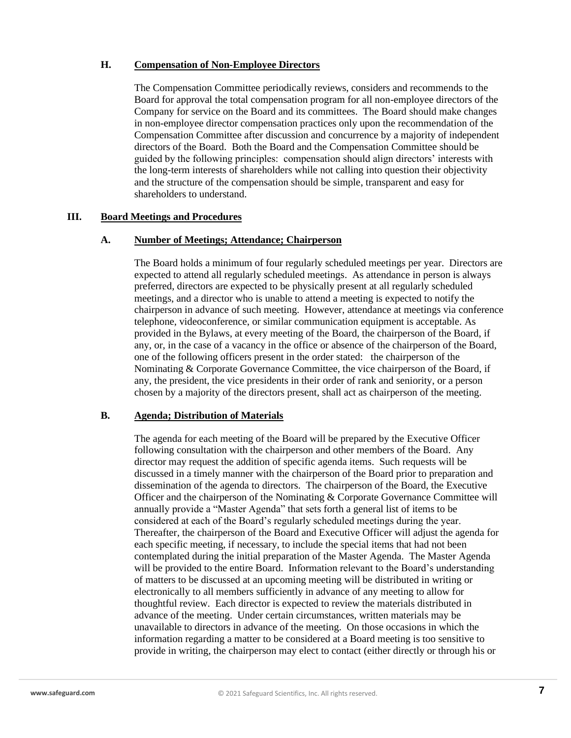## **H. Compensation of Non-Employee Directors**

The Compensation Committee periodically reviews, considers and recommends to the Board for approval the total compensation program for all non-employee directors of the Company for service on the Board and its committees. The Board should make changes in non-employee director compensation practices only upon the recommendation of the Compensation Committee after discussion and concurrence by a majority of independent directors of the Board. Both the Board and the Compensation Committee should be guided by the following principles: compensation should align directors' interests with the long-term interests of shareholders while not calling into question their objectivity and the structure of the compensation should be simple, transparent and easy for shareholders to understand.

#### **III. Board Meetings and Procedures**

#### **A. Number of Meetings; Attendance; Chairperson**

The Board holds a minimum of four regularly scheduled meetings per year. Directors are expected to attend all regularly scheduled meetings. As attendance in person is always preferred, directors are expected to be physically present at all regularly scheduled meetings, and a director who is unable to attend a meeting is expected to notify the chairperson in advance of such meeting. However, attendance at meetings via conference telephone, videoconference, or similar communication equipment is acceptable. As provided in the Bylaws, at every meeting of the Board, the chairperson of the Board, if any, or, in the case of a vacancy in the office or absence of the chairperson of the Board, one of the following officers present in the order stated: the chairperson of the Nominating & Corporate Governance Committee, the vice chairperson of the Board, if any, the president, the vice presidents in their order of rank and seniority, or a person chosen by a majority of the directors present, shall act as chairperson of the meeting.

### **B. Agenda; Distribution of Materials**

The agenda for each meeting of the Board will be prepared by the Executive Officer following consultation with the chairperson and other members of the Board. Any director may request the addition of specific agenda items. Such requests will be discussed in a timely manner with the chairperson of the Board prior to preparation and dissemination of the agenda to directors. The chairperson of the Board, the Executive Officer and the chairperson of the Nominating & Corporate Governance Committee will annually provide a "Master Agenda" that sets forth a general list of items to be considered at each of the Board's regularly scheduled meetings during the year. Thereafter, the chairperson of the Board and Executive Officer will adjust the agenda for each specific meeting, if necessary, to include the special items that had not been contemplated during the initial preparation of the Master Agenda. The Master Agenda will be provided to the entire Board. Information relevant to the Board's understanding of matters to be discussed at an upcoming meeting will be distributed in writing or electronically to all members sufficiently in advance of any meeting to allow for thoughtful review. Each director is expected to review the materials distributed in advance of the meeting. Under certain circumstances, written materials may be unavailable to directors in advance of the meeting. On those occasions in which the information regarding a matter to be considered at a Board meeting is too sensitive to provide in writing, the chairperson may elect to contact (either directly or through his or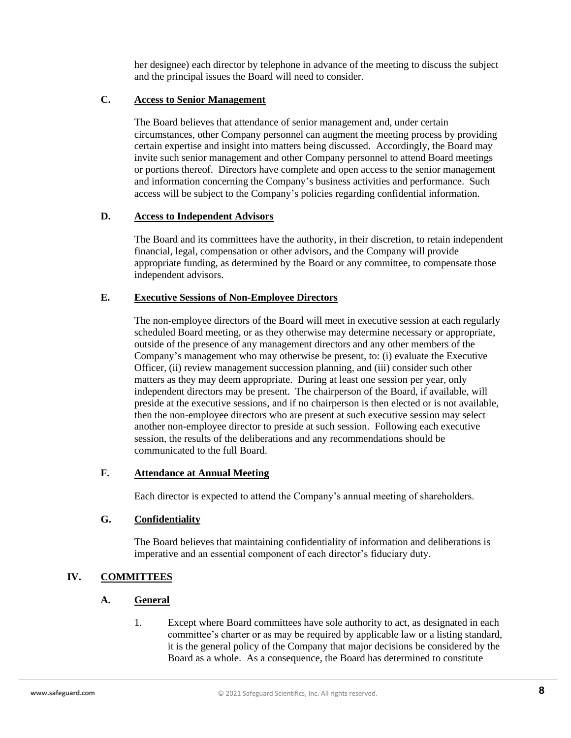her designee) each director by telephone in advance of the meeting to discuss the subject and the principal issues the Board will need to consider.

## **C. Access to Senior Management**

The Board believes that attendance of senior management and, under certain circumstances, other Company personnel can augment the meeting process by providing certain expertise and insight into matters being discussed. Accordingly, the Board may invite such senior management and other Company personnel to attend Board meetings or portions thereof. Directors have complete and open access to the senior management and information concerning the Company's business activities and performance. Such access will be subject to the Company's policies regarding confidential information.

## **D. Access to Independent Advisors**

The Board and its committees have the authority, in their discretion, to retain independent financial, legal, compensation or other advisors, and the Company will provide appropriate funding, as determined by the Board or any committee, to compensate those independent advisors.

## **E. Executive Sessions of Non-Employee Directors**

The non-employee directors of the Board will meet in executive session at each regularly scheduled Board meeting, or as they otherwise may determine necessary or appropriate, outside of the presence of any management directors and any other members of the Company's management who may otherwise be present, to: (i) evaluate the Executive Officer, (ii) review management succession planning, and (iii) consider such other matters as they may deem appropriate. During at least one session per year, only independent directors may be present. The chairperson of the Board, if available, will preside at the executive sessions, and if no chairperson is then elected or is not available, then the non-employee directors who are present at such executive session may select another non-employee director to preside at such session. Following each executive session, the results of the deliberations and any recommendations should be communicated to the full Board.

## **F. Attendance at Annual Meeting**

Each director is expected to attend the Company's annual meeting of shareholders.

## **G. Confidentiality**

The Board believes that maintaining confidentiality of information and deliberations is imperative and an essential component of each director's fiduciary duty.

# **IV. COMMITTEES**

## **A. General**

1. Except where Board committees have sole authority to act, as designated in each committee's charter or as may be required by applicable law or a listing standard, it is the general policy of the Company that major decisions be considered by the Board as a whole. As a consequence, the Board has determined to constitute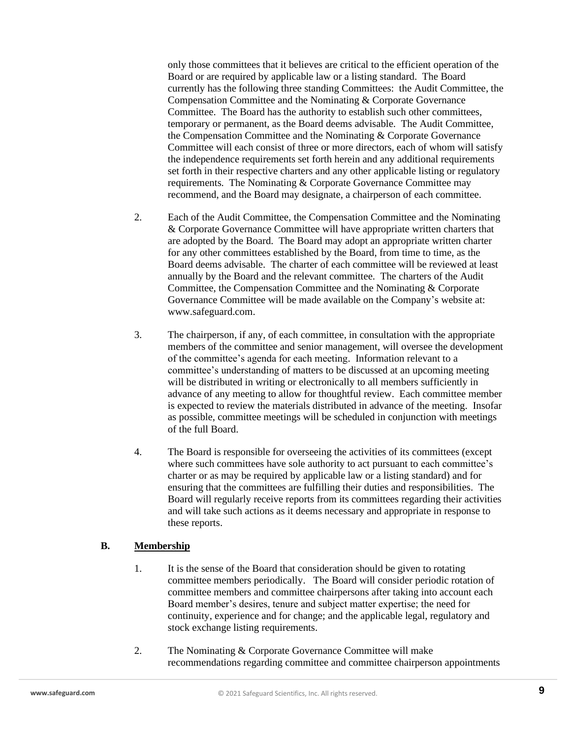only those committees that it believes are critical to the efficient operation of the Board or are required by applicable law or a listing standard. The Board currently has the following three standing Committees: the Audit Committee, the Compensation Committee and the Nominating & Corporate Governance Committee. The Board has the authority to establish such other committees, temporary or permanent, as the Board deems advisable. The Audit Committee, the Compensation Committee and the Nominating & Corporate Governance Committee will each consist of three or more directors, each of whom will satisfy the independence requirements set forth herein and any additional requirements set forth in their respective charters and any other applicable listing or regulatory requirements. The Nominating & Corporate Governance Committee may recommend, and the Board may designate, a chairperson of each committee.

- 2. Each of the Audit Committee, the Compensation Committee and the Nominating & Corporate Governance Committee will have appropriate written charters that are adopted by the Board. The Board may adopt an appropriate written charter for any other committees established by the Board, from time to time, as the Board deems advisable. The charter of each committee will be reviewed at least annually by the Board and the relevant committee. The charters of the Audit Committee, the Compensation Committee and the Nominating & Corporate Governance Committee will be made available on the Company's website at: www.safeguard.com.
- 3. The chairperson, if any, of each committee, in consultation with the appropriate members of the committee and senior management, will oversee the development of the committee's agenda for each meeting. Information relevant to a committee's understanding of matters to be discussed at an upcoming meeting will be distributed in writing or electronically to all members sufficiently in advance of any meeting to allow for thoughtful review. Each committee member is expected to review the materials distributed in advance of the meeting. Insofar as possible, committee meetings will be scheduled in conjunction with meetings of the full Board.
- 4. The Board is responsible for overseeing the activities of its committees (except where such committees have sole authority to act pursuant to each committee's charter or as may be required by applicable law or a listing standard) and for ensuring that the committees are fulfilling their duties and responsibilities. The Board will regularly receive reports from its committees regarding their activities and will take such actions as it deems necessary and appropriate in response to these reports.

## **B. Membership**

- 1. It is the sense of the Board that consideration should be given to rotating committee members periodically. The Board will consider periodic rotation of committee members and committee chairpersons after taking into account each Board member's desires, tenure and subject matter expertise; the need for continuity, experience and for change; and the applicable legal, regulatory and stock exchange listing requirements.
- 2. The Nominating & Corporate Governance Committee will make recommendations regarding committee and committee chairperson appointments